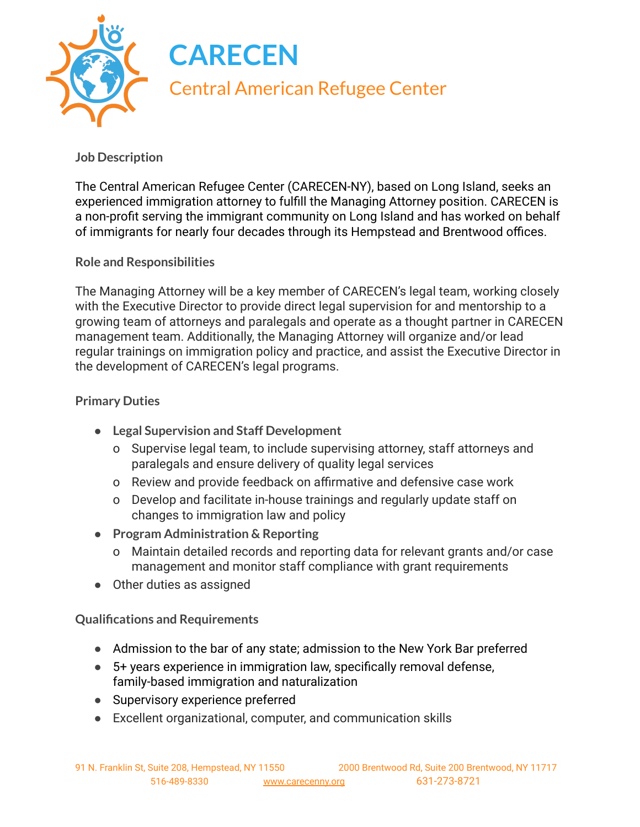

## **Job Description**

The Central American Refugee Center (CARECEN-NY), based on Long Island, seeks an experienced immigration attorney to fulfill the Managing Attorney position. CARECEN is a non-profit serving the immigrant community on Long Island and has worked on behalf of immigrants for nearly four decades through its Hempstead and Brentwood offices.

## **Role and Responsibilities**

The Managing Attorney will be a key member of CARECEN's legal team, working closely with the Executive Director to provide direct legal supervision for and mentorship to a growing team of attorneys and paralegals and operate as a thought partner in CARECEN management team. Additionally, the Managing Attorney will organize and/or lead regular trainings on immigration policy and practice, and assist the Executive Director in the development of CARECEN's legal programs.

## **Primary Duties**

- **● Legal Supervision and Staff Development**
	- o Supervise legal team, to include supervising attorney, staff attorneys and paralegals and ensure delivery of quality legal services
	- o Review and provide feedback on affirmative and defensive case work
	- o Develop and facilitate in-house trainings and regularly update staff on changes to immigration law and policy
- **● Program Administration & Reporting**
	- o Maintain detailed records and reporting data for relevant grants and/or case management and monitor staff compliance with grant requirements
- Other duties as assigned

**Qualifications and Requirements**

- Admission to the bar of any state; admission to the New York Bar preferred
- 5+ years experience in immigration law, specifically removal defense, family-based immigration and naturalization
- Supervisory experience preferred
- Excellent organizational, computer, and communication skills